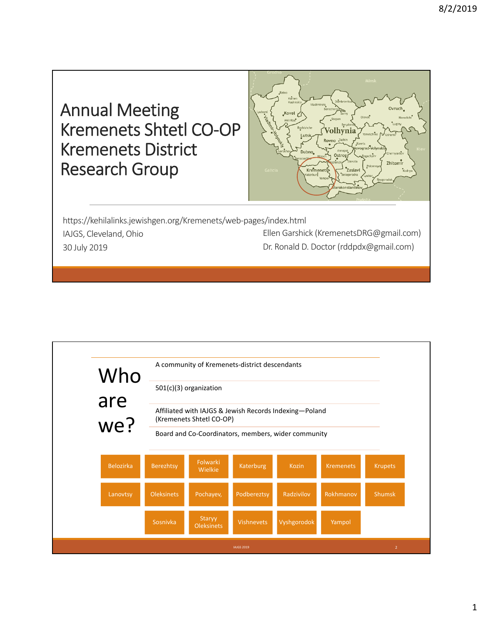



https://kehilalinks.jewishgen.org/Kremenets/web‐pages/index.html IAJGS, Cleveland, Ohio 30 July 2019 Ellen Garshick (KremenetsDRG@gmail.com) Dr. Ronald D. Doctor (rddpdx@gmail.com)

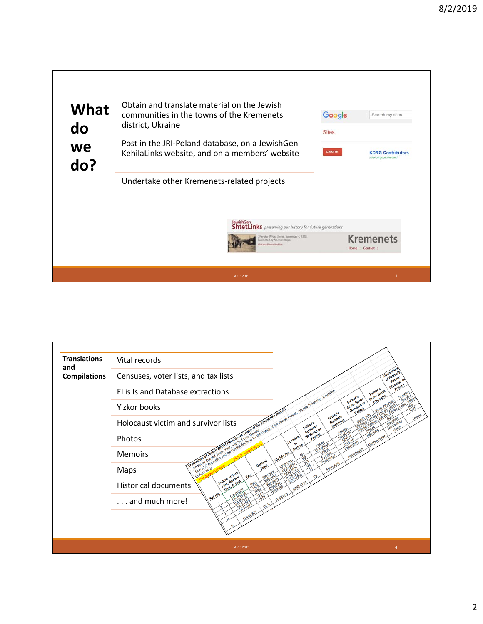

| <b>Translations</b>        | Vital records                                                                          |
|----------------------------|----------------------------------------------------------------------------------------|
| and<br><b>Compilations</b> | Censuses, voter lists, and tax lists<br>of Father<br>Father                            |
|                            | Russlan<br>Father's<br><b>Ellis Island Database extractions</b><br>Given Nam           |
|                            | Father's<br>Given Name<br>(Russian or<br>Yizkor books                                  |
|                            | Father's<br>Surname<br>Holocaust victim and survivor lists<br>Father's<br>SUITAINE     |
|                            | (Russian or<br>I for the History<br>Polishi<br>Photos                                  |
|                            | <b>Memoirs</b><br><b>CD File His</b>                                                   |
|                            | Sovied by Data<br>from LDS Microb<br>Datase.<br>10 April 2018<br>Maps<br>Source or LDS |
|                            | Film, Record<br>$402$<br><b>Historical documents</b>                                   |
|                            | Set No.<br>and much more!                                                              |
|                            |                                                                                        |
|                            | <b>IAJGS 2019</b>                                                                      |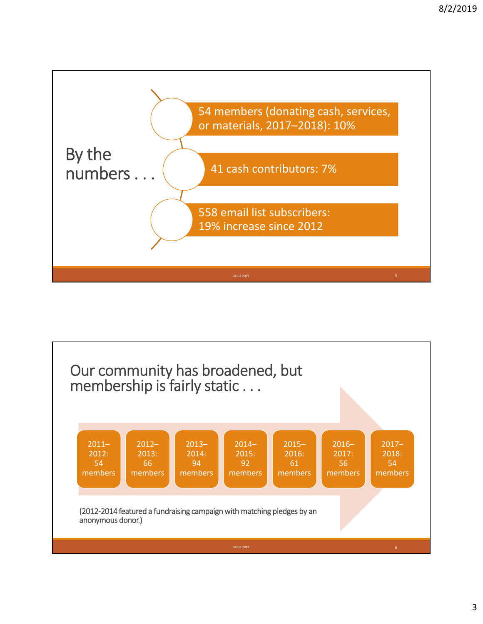

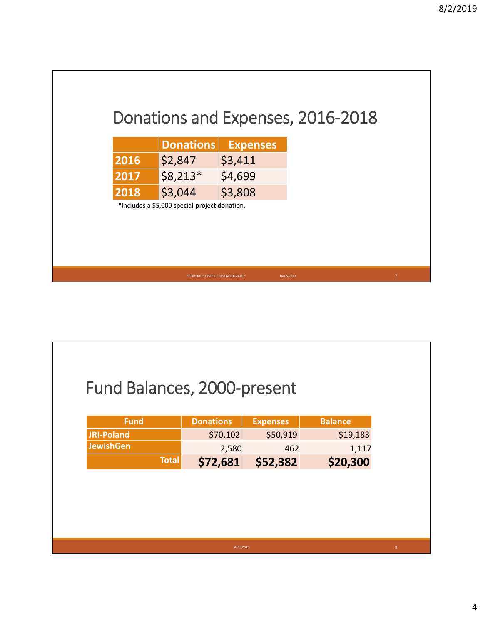

| \$70,102<br>\$50,919<br><b>JRI-Poland</b><br>\$19,183 |
|-------------------------------------------------------|
|                                                       |
| <b>JewishGen</b><br>2,580<br>462<br>1,117             |
| <b>Total</b><br>\$72,681<br>\$52,382<br>\$20,300      |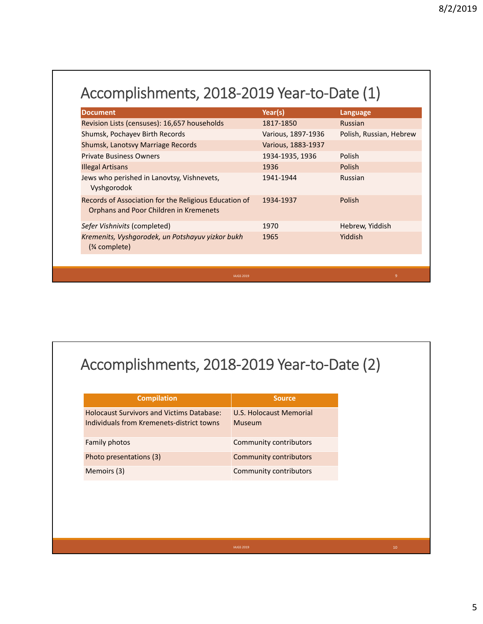| <b>Document</b>                                                                                 | Year(s)            | Language                |
|-------------------------------------------------------------------------------------------------|--------------------|-------------------------|
| Revision Lists (censuses): 16,657 households                                                    | 1817-1850          | <b>Russian</b>          |
| Shumsk, Pochayev Birth Records                                                                  | Various, 1897-1936 | Polish, Russian, Hebrew |
| Shumsk, Lanotsvy Marriage Records                                                               | Various, 1883-1937 |                         |
| <b>Private Business Owners</b>                                                                  | 1934-1935, 1936    | Polish                  |
| <b>Illegal Artisans</b>                                                                         | 1936               | Polish                  |
| Jews who perished in Lanovtsy, Vishnevets,<br>Vyshgorodok                                       | 1941-1944          | <b>Russian</b>          |
| Records of Association for the Religious Education of<br>Orphans and Poor Children in Kremenets | 1934-1937          | Polish                  |
| Sefer Vishnivits (completed)                                                                    | 1970               | Hebrew, Yiddish         |
| Kremenits, Vyshgorodek, un Potshayuv yizkor bukh<br>$(*\infty)$                                 | 1965               | Yiddish                 |

## Accomplishments, 2018‐2019 Year‐to‐Date (2)

| <b>Compilation</b>                                                                            | <b>Source</b>                     |  |
|-----------------------------------------------------------------------------------------------|-----------------------------------|--|
| <b>Holocaust Survivors and Victims Database:</b><br>Individuals from Kremenets-district towns | U.S. Holocaust Memorial<br>Museum |  |
| Family photos                                                                                 | Community contributors            |  |
| Photo presentations (3)                                                                       | Community contributors            |  |
| Memoirs (3)                                                                                   | <b>Community contributors</b>     |  |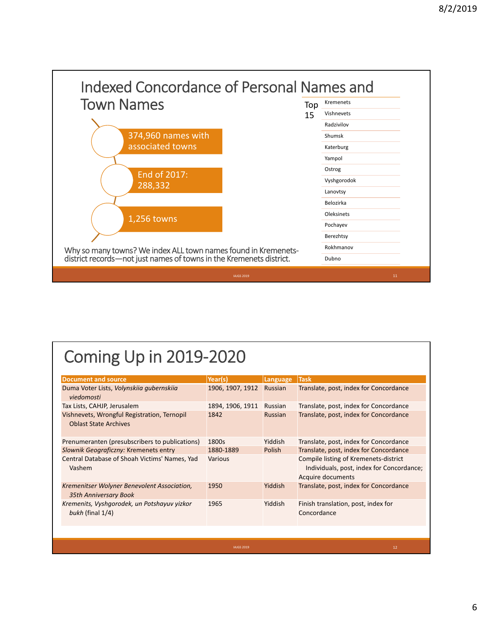

## Coming Up in 2019‐2020

| <b>Document and source</b>                                                  | Year(s)          | Language | <b>Task</b>                                                                                             |
|-----------------------------------------------------------------------------|------------------|----------|---------------------------------------------------------------------------------------------------------|
| Duma Voter Lists, Volynskiia gubernskiia<br>viedomosti                      | 1906, 1907, 1912 | Russian  | Translate, post, index for Concordance                                                                  |
| Tax Lists, CAHJP, Jerusalem                                                 | 1894, 1906, 1911 | Russian  | Translate, post, index for Concordance                                                                  |
| Vishnevets, Wrongful Registration, Ternopil<br><b>Oblast State Archives</b> | 1842             | Russian  | Translate, post, index for Concordance                                                                  |
| Prenumeranten (presubscribers to publications)                              | 1800s            | Yiddish  | Translate, post, index for Concordance                                                                  |
| Slownik Geograficzny: Kremenets entry                                       | 1880-1889        | Polish   | Translate, post, index for Concordance                                                                  |
| Central Database of Shoah Victims' Names, Yad<br>Vashem                     | Various          |          | Compile listing of Kremenets-district<br>Individuals, post, index for Concordance;<br>Acquire documents |
| Kremenitser Wolyner Benevolent Association,<br>35th Anniversary Book        | 1950             | Yiddish  | Translate, post, index for Concordance                                                                  |
| Kremenits, Vyshgorodek, un Potshayuv yizkor<br>bukh (final $1/4$ )          | 1965             | Yiddish  | Finish translation, post, index for<br>Concordance                                                      |

IAJGS 2019 12